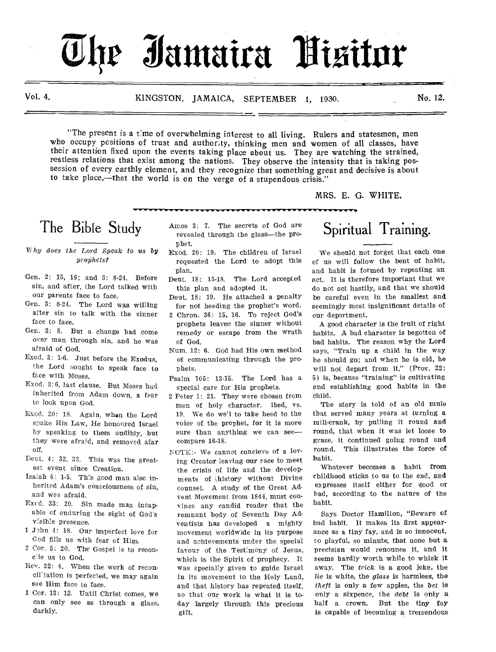# **0.11r Xamaira**

Vol. 4. KINGSTON, JAMAICA, SEPTEMBER 1, 1930. No. 12.

"The present is a fine of overwhelming interest to all living. Rulers and statesmen, men who occupy positions of trust and authority, thinking men and women of all classes, have their attention fixed upon the events taking place about us. They are watching the strained, restless relations that exist among the nations. They observe the intensity that is taking possession of every earthly element, and they recognize that something great and decisive is about to take place,—that the world is on the verge of a stupendous crisis."

MRS. E. G. WHITE.

# The Bible Study

- *Ti by does the Lord Speak to us by prophets?*
- Gen. 2: 15, 16; and 3: 8-24. Before sin, and after, the Lord talked with our parents face to face.
- Gen. 3: 8-24. The Lord was willing after sin to talk with the sinner face to face.
- Ger,. 3: 8. But a change had come over man through sin, and he was afraid of God.
- Exod. 3: 1-6. Just before the Exodus, the Lord Nought to speak face to *face* with Moses.
- Exod. 3:6, last clause. But Moses had inherited from Adam down, a fear to look upon God.
- Exod. 20: 18. Again, when the Lord spake His Law, He honoured Israel by speaking to them audibly, but they were afraid, and removed afar off.
- Dent. 4: 32, 33. This was the greatest event since Creation.
- Isaiah 6: 1-5. This good man alsc inherited Adam's consciousness of sin, and was afraid.
- Excd. 33: 20. Sin made man incapable of enduring the sight of God's visible presence.
- 1 John 4: 18. Our imperfect love for God fills us with fear of Him.
- 2 Cor, 5: 20. The Gospel is to reconcile us to God.
- Rev. 22: 4. When the work of reconciliation is perfected, we may again see Him face to face.
- 1 Cor. 13: 12. Until Christ comes, we can only see as through a glass, darkly.
- Amos 3: 7. The secrets of God are revealed through the glass—the prophet.
- Exod. 20: 19. The children of Israel requested the Lord to adopt this plan.
- Deut. 18: 15-18. The Lord accepted this plan and adopted it.
- Deut. 18: 19. He attached a penalty for not heeding the prophet's word.
- 2 Chron. 36: 15, 16. To reject God's prophets leaves the sinner without remedy or escape from the wrath of God.
- Num. 12: 6. God had His own method of communicating through the prophets.
- Psalm 105: 13-15. The Lord has a special care for His prophets.
- 2 Peter 1: 21. They were chosen from men of holy character. ibed, vs. 19. We do we'l to take heed to the voice of the prophet, for it is more sure than anything we can see compare 16-18.
- NOTE:- We cannot concieve of a loving Creator leaving our race to meet the crisis of life and the developments of history without Divine counsel. A study of the Great Advent Movement from 1844, must convince any candid reader that the remnant body of Seventh Day Adventists has developed a mighty movement worldwide in its purpose and achievements under the special favour of the Testimony of Jesus, which is the Spirit of prophecy. It was specially given to guide Israel in its movement to the Holy Land, and that history has repeated itself, so that our work is what it is today largely through this precious gift.

# Spiritual Training.

We should not forget that each one of us will follow the bent of habit, and habit is formed by repeating an act. It is therefore important that we do not act hastily, and that we should be careful even in the smallest and seemingly most insignificant details of our deportment.

A good character is the fruit of right habits. A bad character is begotten of bad habits. The reason why the Lord says, "Train up a child in the way he should go; and when he is old, he will not depart from it," (Prov. 22: 5) is, because "training" is cultivating and establishing good habits in the child.

The story is told of an old mule that served many years at turning a mill-crank, by pulling it round and round, that when it was let loose to graze, it continued going round and round. This illustrates the force of habit.

Whatever becomes a habit from childhood sticks to us to the end, and expresses itself either for good or bad, according to the nature of the habit.

Says Doctor Hamilton, "Beware of bad habit. It makes its first appearance as a tiny fay, and is so innocent, so playful, so minute, that none but a precisian would renounce it, and it seems hardly worth while to whisk it away. The *trick* is a good joke, the *lie* is white, the *glass* is harmless, the *theft* is only a few apples, the *bet* is only a sixpence, the *debt* is only a half a crown. But the tiny fay is capable of becoming a tremendous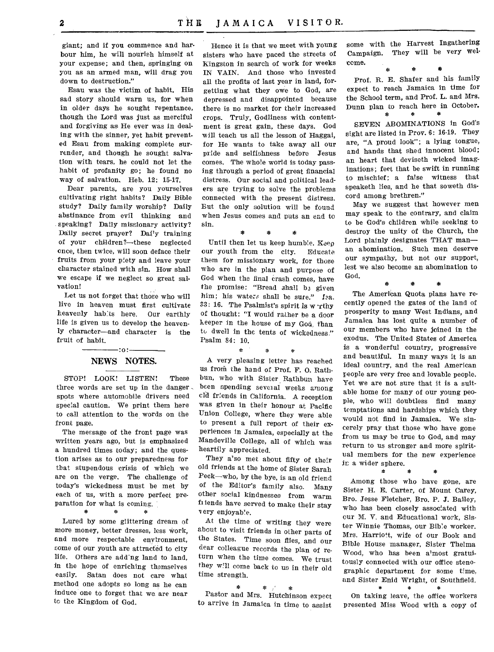giant; and if you commence and harbour him, he will nourish himself at your expense; and then, springing on you as an armed man, will drag you down to destruction."

Esau was the victim of habit. His sad story should warn us, for when in older days he sought repentance, though the Lord was just as merciful and forgiving as He ever was in dealing with the sinner, yet habit prevented Esau from making complete surrender, and though he sought salvation with tears, he could not let the habit of profanity go; he found no way of salvation, Heb. 12: 15-17.

Dear parents, are you yourselves cultivating right habits? Daily Bible study? Daily family worship? Daily abstinance from evil thinking and speaking? Daily missionary activity? Daily secret prayer? Daily training of your children?—these neglected once, then twice, will soon deface their fruits from your piety and leave your character stained with sin. How shall we escape if we neglect so great salvation!

Let us not forget that those who will live in heaven must first cultivate heavenly habits here. Our earthly life is given us to develop the heavenly character—and character is the fruit of habit.

#### :o: NEWS NOTES.

STOP! LOOK! LISTEN! These three words are set up in the danger , spots where automobile drivers need special caution. We print them here to call attention to the words on the front page.

The message of the front page was written years ago, but is emphasized a hundred times today; and the question arises as to our preparedness for that stupendous crisis of which we are on the verge. The challenge of today's wickedness must be met by each of us, with a more perfect preparation for what is coming.<br> $*$   $*$   $*$ 

 $\ast$ 

金

Lured by some glittering dream of more money, better dresses, less work, and more respectable environment, some of our youth are attracted to city life. Others are add'ng land to land, in the hope of enriching themselves easily. Satan does not care what method one adopts so long as he can induce one to forget that we are near tc the Kingdom of God.

Hence it is that we meet with young sisters who have paced the streets of Kingston in search of work for weeks IN VAIN. And those who invested all the profits of last year in land, forgetting what they owe to God, are depressed and disappointed because there is no market for their increased crops. Truly, Godliness with contentment is great gain, these days. God will teach us all the lesson of Haggai, for He wants to take away all our pride and selfishness before Jesus comes. The whole world is today passing through a period of great financial distress. Our social and political leaders are trying to solve the problems connected with the present distress. But the only solution will be found when Jesus comes and puts an end to sin.

\* \* \*

Until then let us keep humble. Keep our youth from the city. Educate them for missionary work, for those who are in the plan and purpose of God when the final crash comes, have the promise: "Bread shall be given him; his waters shall be sure." Isa.  $33:16.$  The Psalmist's spirit is w rthy of thought: "I would rather be a door keeper in the house of my God, than to dwell in the tents of wickedness." Psalm 84: 10.

A very pleasing letter has reached us from the hand of Prof. F. 0. Rathbun, who with Sister Rathbun have been spending several weeks among cld friends in California. A reception was given in their honour at Pacific Union College, where they were able to present a full report of their experiences in Jamaica, especially at the Mandeville College, all of which was heartily appreciated.

They a'so met about fifty of their old friends at the home of Sister Sarah Peck—who, by the bye, is an old friend of the Editor's family also. Many other social kindnesses from warm fi lends have served to make their stay very enjoyable.

At the time of writing they were about to visit friends in other parts of the States. Time soon flies, and our dear colleague records the plan of return when the time comes. We trust they will come back to us in their old time strength.

\* \*  $\frac{1}{2}$ Pastor and Mrs. Hutchinson expect to arrive in Jamaica in time to assist

some with the Harvest Ingathering Campaign. They will be very welcome.

\* \* \* Prof. R. E. Shafer and his family expect to reach Jamaica in time for the School term, and Prof. L. and Mrs. Dunn plan to reach here in October.<br>  $*$   $*$   $*$ 崇

SEVEN ABOMINATIONS in God's sight are listed in Prov. 6: 16-19. They are, "A proud look"; a lying tongue, and hands that shed innocent blood; an heart that deviseth wicked imaginations; feet that be swift in running to mischief; a false witness that speaketh lies, and he that soweth discord among brethren."

May we suggest that however men may speak to the contrary, and claim to be God's children while seeking to destroy the unity of the Church, the Lord plainly designates THAT man an abomination. Such men deserve our sympathy, but not our support, lest we also become an abomination to God.

\* \* \*

The American Quota plans have recently opened the gates of the land of prosperity to many West Indians, and Jamaica has lost quite a number of our members who have joined in the exodus. The United States of America is a wonderful country, progressive and beautiful. In many ways it is an ideal country, and the real American people are very free and lovable people. Yet we are not sure that it is a suitable home for many of our young people, who will doubtless find many temptations and hardships which they would not find in Jamaica. We sincerely pray that those who have gone from us may be true to God, and may return to us stronger and more spiritual members for the new experience in a wider sphere.

Among those who have gone, are Sister H. E. Carter, of Mount Carey, Bro. Jesse Fletcher, Bro. P. J. Bailey, who has been closely associated with our M. V. and Educational work, Sister Winnie Thomas, our Bible worker. Mrs. Harriott, wife of our Book and Bible House manager, Sister Thelma Wood, who has been almost gratuitously connected with our office stenographic department for some time, and Sister Enid Wright, of Southfield.

On taking leave, the office workers presented Miss Wood with a copy of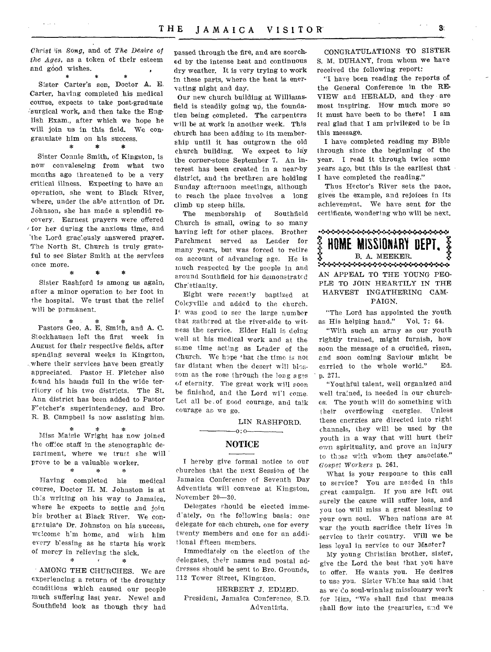*Christ 'in Song, and of The Desire of the Ages,* as a token of their esteem and  $g\dot{\phi}$  wishes.

\* \* Sister Carter's son, Doctor A. E. Carter, having completed his medical course, expects to take post-graduate ,`surgical work, and then take the English Exam., after which we hope he will join us in this field. We congratulate him on his success.<br> $*$  \* \*

Sister Connie Smith, of Kingston, is now convalescing from what two months ago threatened to be a very critical illness. Expecting to have an operation, she went to Black River, where, under the able attention of Dr. Johnson, she has made a splendid recovery. Earnest prayers were offered / for her during the anxious time, and `the Lord graciously answered prayer. The North St. Church is truly grateful to see Sister Smith at the services once more. \* \* \*

Sister Rashford is among us again, after a minor operation to her foot in the hospital. We trust that the relief will be permanent.

\* \* Pastors Geo. A. E. Smith, and A. C. Stockhausen left the first week in August for their respective fields, after spending several weeks in Kingston, where their services have been greatly appreciated. Pastor H. Fletcher also found his hands full in the wide territory of his two districts. The St. Ann district has been added to Pastor F'etcher's superintendency, and Bro. R. B. Campbell is now assisting him.

Miss Maisie Wright has now joined the office staff in the stenographic department, where we trust she will prove to be a valuable worker. \*  $\frac{1}{2\sqrt{3}}$  $\mathcal{H}_\mathrm{R}$ 

Having completed his medical course, Doctor H. M. Johnston is at this writing on his way to Jamaica, where he expects to settle and join his brother at Black River. We congratulate Dr. Johnston on his success, welcome h'm home, and wish him every blessing as he starts his work % of mercy in relieving the sick.<br> $*$   $*$   $*$ 

AMONG THE CHURCHES. We are experiencing a return of the droughty conditions which caused our people much suffering last year. Newel and Southfield look as though they had

passed through the fire, and are scorched by the intense heat and continuous dry weather. It is very trying to work in these parts, where the heat is enervating night and day.

Our new church building at Williamsfield is steadily going up, the foundation being completed. The carpenters will be at work in another week. This church has been adding to its membership until it has outgrown the old church building. We expect to lay the corner-stone September 7. An interest has been created in a near-by district, and the brethren are holding Sunday afternoon meetings, although to reach the place involves a long climb up steep hills.

The membership of Southfield Church is small, owing to so many having left for other places. Brother Parchment served as Leader for many years, but was forced to retire on account of advancing age. He is much respected by the people in and around Southfield for his demonstrated Chr:stianity.

Eight were recently baptized at Coleyville and added to the church. It was good to see the large number that gathered at the river-side to witness the service. Elder Hall is doing well at his medical work and at the same time acting as Leader of the Church. We hope \*hat the time is not far distant when the desert will blossom as the rose through the long ages of eternity. The great work will soon be finished, and the Lord wi'l come. Let all be.of good courage, and talk courage as we go.

LIN RASHFORD.

#### $-0:0-$ NOTICE

I hereby give formal notice to our churches that the next Session of the Jamaica Conference of Seventh Day Adventists will convene at Kingston, November 20-30.

Delegates should be elected immed'ately, on the following basis: one delegate for each church, one for every twenty members and one for an additional fifteen members.

Immediately on the election of the delegates, their names and postal addresses should be sent to Bro. Grounds, 112 Tower Street, Kingston.

HERBERT J. EDMED. President, Jamaica Conference, S.D. Adventists.

CONGRATULATIONS TO SISTER S. M. DUHANY, from whom we have received the following report:

"1. have been reading the reports of the General Conference in the RE-VIEW and HERALD, and they are most inspiring. How much more so it must have been to be there! I am real glad that I am privileged to be in this message.

I have completed reading my Bible through since the beginning of the year. I read it through twice some years ago, but this is the earliest that I have completed the reading."

Thus Hector's River sets the pace, gives the example, and rejoices in its achievement. We have sent for the certificate, wondering who will be next.

•-•:••«•.:—»••••.:++.».•:•++•)+•:••»+.:••:•«:••:« B. A. MEEKER. **?**  :••:••X••:••:•4:•+•:••:.•:••:":••:...:••••:.•:•••:"»,\*•:• AN APPEAL TO THE YOUNG PEO-PLE TO JOIN HEARTILY IN THE HARVEST INGATHERING CAM-PAIGN. HUME MISSIUNAH

"The Lord has appointed the youth as His helping hand." Vol. 7: 64.

"With such an army as our youth rightly trained, might furnish, how soon the message of a crucified, risen, and soon coming Saviour might be<br>carried to the whole world." Ed. carried to the whole world." • p. 271.

"Youthful talent, well organized and well trained, is needed in our churches. The youth will do something with their overflowing energies. Unless these energies are directed into right channels, they will be used by the youth in a way that will hurt their own spirituality, and prove an injury to those with whom they associate." *Gospel Workers* p. 261.

What is your response to this call to service? You are needed in this great campaign. If you are left out surely the cause will suffer loss, and you too will miss a great blessing to your own soul. When nations are at war the youth sacrifice their lives in service to their country. Will we be less loyal in service to our Master?

My young Christian brother, sister, give the Lord the best that you have to offer. He wants you. He desires to use you. Sister White has said that as we do soul-winnisg missionary work for Him, "We shall find that means shall flow into the treasuries, and we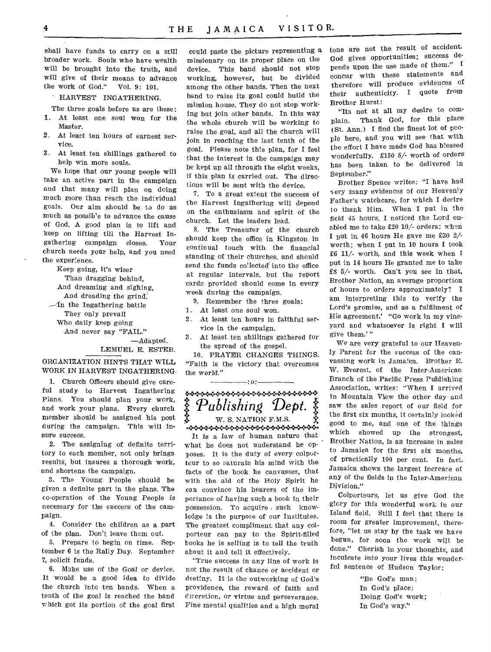shall have funds to carry on a still broader work. Souls who have wealth will be brought into the truth, and will give of their means to advance the work of God." Vol. 9: 101.

#### HARVEST INGATHERING.

- The three goals before us are these:
- 1. At least one soul won for the Master.
- 2. At least ten hours of earnest service.
- 3. At least ten shillings gathered to help win more souls.

We hope that our young people will take an active part in the campaign and that many will plan on doing much more than reach the individual goals. Our aim should be to do as much as possible to advance the cause of God. A good plan is to lift and keep on lifting till the Harvest Ingathering campaign closes. Your church needs your help, and you need the experience.

Keep going, it's wiser Than dragging behind, And dreaming and sighing, And dreading the grind.  $\mathcal{A}$ n the Ingathering battle They only prevail Who daily keep going And never say "FAIL." —Adapted.

LEMUEL E. ESTEB.

#### ORGANIZATION HINTS THAT WILL WORK IN HARVEST INGATHERING.

1. Church Officers should give careful study to Harvest Ingathering Plans. You should plan your work, and work your plans. Every church member should be assigned his post during the campaign. This will insure success.

2. The assigning of definite territory to each member, not only brings results, but insures a thorough work, and shortens the campaign.

3. The Young People should be given a definite part in the plans. The co-operation of the Young People is necessary for the success of the campaign.

4. Consider the children as a part of the plan. Don't leave them out.

5. Prepare to begin on time. September 6 is the Rally Day. September 7, *solicit* funds.

6. Make use of the Goal or device. It would be a good idea to divide the church into ten bands. When a tenth of the goal is reached the band which got its portion of the goal first

could paste the picture representing a missionary on its proper place on the device. This band should not stop working, however, but be divided among the other bands. Then the next band to raise its goal could build the mission house. They do not stop working but join other bands. In this way the whole church will be working to raise the goal, and all the church will join in reaching the last tenth of the goal. Please note this plan, for I feel that the interest in the campaign may be kept up all through the eight weeks, if this plan is carried out. The directions will be sent with the device.

7. To a great extent the success of the Harvest Ingathering will depend on the enthusiasm and spirit of the church. Let the leaders lead.

8. The Treasurer of the church should keep the office in Kingston in continual touch with the financial standing of their churches, and should send the funds collected into the office at regular intervals, but the report cards provided should come in every week during the campaign.

9. Remember the three goals:

- 1. At least one soul won.
- 2. At least ten hours in faithful service in the campaign.
- 3. At least ten shillings gathered for the spread of the gospel.

10. PRAYER CHANGES THINGS. "Faith is the victory that overcomes the world."



It is a law of human nature that what he does not understand he opposes. It is the duty of every colporteur to so saturate his mind with the facts of the book he canvasses, that with the aid of the Holy Spirit he can convince his hearers of the importance of having such a book in their possession. To acquire such knowledge is the purpose of our Institutes. The greatest compliment that any colporteur can pay to the Spirit-filled books he is selling is to tell the truth about it and tell it effectively.

"True success in any line of work is not the result of chance or accident or destiny. It is the outworking of God's providence, the reward of faith and diccretion, or virtue and perseverance. Fine mental qualities and a high moral tone are not the result of accident. God gives opportunities; success depends upon the use made of them." I concur with these statements and therefore will produce evidences of their authenticity. I quote from Brother Hurst:

"Its not at all my desire to complain. Thank God, for this place (St. Ann.) I find the finest lot of people here, and you will see that with the effort I have made God has blessed wonderfully. £150 8/- worth of orders has been taken to be delivered in September."

Brother Spence writes: "I have had ery many evidences of our Heavenly Father's watchcare, for which I desire 10 thank Him. When I put in the field 45 hours, I noticed the Lord enabled me to take £20 10/- orders; when I put in 46 hours He gave me £30 2/ worth; when I put in 10 hours I took £6 11/- worth, and this week when I put in 14 hours He granted me to take £8 5/- worth. Can't you see in that, Brother Nation, an average proportion of hours to orders approximately? I am interpreting this to verify the Lord's promise, and as a fulfilment of His agreement.' "Go work in my vineyard and whatsoever is right I will give them.' "

We are very grateful to our Heavenly Parent for the success of the canvassing work in Jamaica. Brother E. W. Everest, of the Inter-American Branch of the Pacific Press Publishing Association, writes: "When I arrived in Mountain View the other day and saw the sales report of our field for the first six months, it certainly looked good to me, and one of the things which showed up the strongest, Brother Nation, is an increase in sales to Jamaica for the first six months, of practically 100 per cent. In fact, Jamaica shows the largest increase of any of the fields in the Inter-American Division."

Colporteurs, let us *give* God the glory for this wonderful work in our Island field. Still I feel that there is room for greater improvement, therefore, "let us stay by the task we have begun, for soon the work will be done." Cherish in your thoughts, and inculcate into your lives this wonderful sentence of Hudson Taylor:

> "Be God's man; In God's place; Doing God's work; In God's way."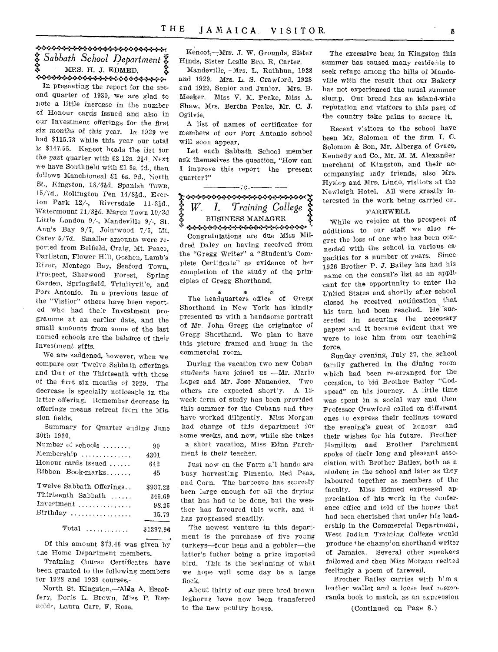## \*\*\*\*\*\*\*\*\*\*\*\*\*\*\*\*\*\*\*\*\*\*\*\*\* *5: Sabbath School Department \*.f.*  MRS. H. J. EDMED.

In presenting the report for the sec-<br>In presenting the report for the second quarter of 1930, we are glad to note a little increase in the number of Honour cards issued and also in our Investment offerings for the first six months of this year. In 1929 we had \$115.73 while this year our total ie \$147.55. Kencot heads the list for the past quarter with £2 12s. 21d. Next we have Southfield with £1 8s. 6d., then follows Manchioneal £1 6s. 9d., North St., Kingston, 18/62d. Spanish Town, 15/7d., Roliington Pen 14/82d., Everton Park  $12/$ -, Riversdale  $11.31d$ ., Watermount 11/31d. March Town 10/3d Little London 9/-, Mandeville 9/-, St. Ann's Bay 9/7, Jointwood 7/5, Mt. Carey 5/7d. Smaller amounts were reported from Belfield, Craig, Mt. Peace, Darliston, Flower H:11, Goshen, Lamb's River, Montego Bay, Seaford Town, Prospect, Sherwood Forest, Spring Garden, Springfield, Trinityvil'e, and Port Antonio. In a previous issue of the "Visitor" others have been reported who had their Investment programme at an earlier date, and the small amounts from some of the last named schools are the balance of their Investment gifts.

We are saddened, however, when we compare our Twelve Sabbath offerings and that of the Thirteenth with those of the first six months of 1929. The decrease is specially noticeable in the latter offering. Remember decrease in offerings means retreat from the Mission fields.

Summary for Quarter ending June 30th 1930.

| Number of schools        | 90        |
|--------------------------|-----------|
| Membership               | 4301      |
| Honour cards issued      | 642       |
| Ribbon Book-marks        | 45        |
| Twelve Sabbath Offerings | \$937.23  |
| Thirteenth Sabbath       | 346.69    |
| $Inverment$              | 98.25     |
| $Birthday$               | 15.79     |
|                          |           |
| $Total$                  | \$1397.96 |

Of this amount \$73.46 was given by the Home Department members.

Training Course Certificates have been granted to the following members for 1928 and 1929 courses,—

North St. Kingston,—Aida A. Escoffery, Doris L. Brown, Miss P. Reynoldr, Laura Carr, F. Rose.

Kencot,—Mrs. J. W. Grounds, Sister Hinds, Sister Leslie Bro. R. Carter.

Mandeville,—Mrs, L. Rathbun, 1928 and 1929. Mrs. L. S. Crawford, 1928 and 1929, Senior and Junior. Mrs. B. Meeker. Miss V. M. Peake, Miss A. Shaw, Mrs. Bertha Peake, Mr. C. J. Ogilvie.

A list of names of certificates for members of our Port Antonio school will soon appear.

Let each Sabbath School member ask themselves the question, "How can I improve this report the present quarter?"

# $: 0, -$ **W. I.** *Training College*  BUSINESS MANAGER :80

Congratulations are due Miss Mildred Daley on having received from the "Gregg Writer" a "Student's Complete Certificate" as evidence of her completion of the study of the principles of Gregg Shorthand.

 $\mathbf{x}$ The headquarters office of Gregg Shorthand in New York has kindly presented us with a handsome portrait of Mr. John Gregg the originator of Gregg Shorthand. We plan to have this picture framed and hung in the commercial room.

During the vacation two new Cuban students have joined us —Mr. Mario Lopez and Mr. Jose Manendez. Two others are expected short'y. A 12 week term of study has been provided this summer for the Cubans and they have worked diligently. Miss Morgan had charge of this department for some weeks, and now, while she takes a short vacation, Miss Edna Parchment is their teacher.

Just now on the Farm all hands are busy harvesting Pimento, Red Peas, and Corn. The barbecue has scarcely been large enough for all the drying that has had to be done, but the weather has favoured this work, and it has progressed steadily.

The newest venture in this department is the purchase of five young turkeys—four hens and a gobbler—the latter's father being a prize imported bird. This is the beginning of what we hope will some day be a large flock.

About thirty of our pure bred brown leghorns have now been transferred to the new poultry house.

The excessive heat in Kingston this summer has caused many residents to seek refuge among the hills of Mandeville with the result that our Bakery has not experienced the usual summer slump. Our bread has an island-wide reputation and visitors to this part of the country take pains to secure it.

Recent visitors to the school have been Mr. Solomon of the firm I. C. Solomon & Son, Mr. Alberga of Grace, Kennedy and Co., Mr. M. M. Alexander merchant of Kingston, and their acccmpanying lady friends, also Mrs. Hyslop and Mrs. Lindo, visitors at the Newleigh Hotel. All were greatly interested in the work being carried on.

#### FAREWELL

While we rejoice at the prospect of additions to our staff we also regret the loss of one who has been connected with the school in various capacities for a number of years. Since 1926 Brother P. J. Bailey has had his name on the consul's list as an applicant for the opportunity to enter the United States and shortly after school closed he received notification, that his turn had been reached. He succeeded in securing the necessary papers and it became evident that we were to lose him from our teaching force.

Sunday evening, July 27, the school family gathered in the dining room which had been re-arranged for the occasion, to bid Brother Bailey "Godspeed" on his journey. A little time was spent in a social way and then Professor Crawford called on different ones to express their feelings toward the evening's guest of honour and their wishes for his future. Brother Hamilton and Brother Parchment spoke of their long and pleasant association with Brother Bailey, both as a student in the school and later as they laboured together as members of the faculty. Miss Edmed expressed appreciation of his work in the conference office and told of the hopes that had been cherished that under his leadership in the Commercial Department, West Indian Training College would produce the champion shorthand writer of Jamaica. Several other speakers followed and then Miss Morgan recited feelingly a poem of farewell.

Brother Bailey carries with him a leather wallet and a loose leaf memoranda book to match, as an expiesston

(Continued on Page 8.)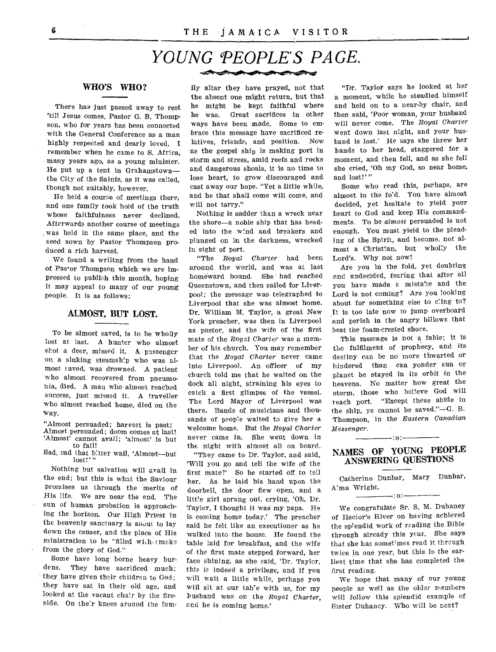# *YOUNG PEOPLE'S PAGE.*

#### WHO'S WHO?

There has just passed away to rest 'till Jesus comes, Pastor G. B. Thompson, who for years has been connected with the General Conference as a man highly respected and dearly loved. I remember when he came to S. Africa, many years ago, as a young minister. He put up a tent in Grahamstown the City of the Saints, as it was called, though not suitably, however.

He held a courae of meetings there, and one family took hold of the truth whose faithfulness never declined. Afterwards another course of meetings was held in the same place, and the seed sown by Pastor Thompson produced a rich harvest.

We found a wriitng from the hand of Pas+or Thompson which we are impressed to publish this month, hoping it may appeal to many of our young people. It is as follows:

#### ALMOST, BUT LOST.

To be almost saved, is to be wholly lost at last. A hunter who almost shot a deer, missed it. A passenger on a sinking steamship who was almost saved, was drowned. A patient who almost recovered from pneumonia, died. A man who almost reached success, just missed it. A traveller who almost reached home, died on the way.

"Almost persuaded; harvest is past; Almost persuaded; doom comes at last! `Almost' cannot avail; 'almost' is but to fail!

Sad, sad that bitter wail, 'Almost-but lost!' "

Nothing but salvation will avail in the end; but this is what the Saviour promises us through the merits of His life. We are near the end. The sun of human probation is approaching the horizon. Our High Priest in the heavenly sanctuary is about to lay down the censer, and the place of His ministration to be "filled with  $\epsilon$  moke from the glory of God."

Some have long borne heavy bur-<br>dens. They have sacrificed much: They have sacrificed much; they have given their children to God; they have sat in their old age, and looked at the vacant chair by the fireside. On their knees around the fam-

ily- altar they have prayed, not that the absent one might return, but that he might be kept faithful where he was. Great sacrifices in other ways have been made. Some to embrace this message have sacrificed relatives, friends; and position. Now as the gospel ship is making port in storm and stress, amid reefs and rocks and dangerous shoals, it is no time to lose heart, to grow discouraged and cast away our hope. "Yet a little while, and he that shall come will come, and will not tarry."

Nothing is sadder than a wreck near the shore—a noble ship that has headed into the wind and breakers and plunged on in the darkness, wrecked in sight of port.

"The *Royal Charter* had been around the world, and was at last homeward bound. She had reached Queenstown, and then sailed for Liverpool; the message was telegraphed to Liverpool that she was almost home. Dr. William M. Taylor, a great New York preacher, was then in Liverpool as pastor, and the wife of the first mate of the Royal *Charter* was a member of his church. You may remember that the *Royal Charter* never came into Liverpool. An officer of my church told me that he waited on the dock all night, straining his eyes to catch a first glimpse of the vessel. The Lord Mayor of Liverpool was there. Bands of musicians and thousands of people waited to give her a welcome home. But the *Royal Charter*  never came in. She went down in the night with almost all on board.

"They came to Dr. Taylor, and said, Will you go and tell the wife of the first mate?' So he started off to tell her. As he laid his hand upon the doorbell, the door flew open, and a little girl sprang out, crying, 'Oh, Dr. Taylor, I thought it was my papa. He is coming home today.' The preacher said he felt like an executioner as he walked into the house. He found the table laid for breakfast, and the wife of the first mate stepped forward, her face shining, as she said, 'Dr. Taylor, this is indeed a privilege, and if you will wait a little while, perhaps you will sit at our tab'e with us, for my husband was on the *Royal Charter,*  and he is coming home.'

"Dr, Taylor says he looked at her a moment, while he steadied himself and held on to a near-by chair, and then said, 'Poor woman, your husband will never come. The *Royal Charter*  went down last night, and your husband is lost.' He says she threw her bands to her head, staggered for a moment, and then fell, and as she fell she cried, 'Oh my God, so near home, and lost!'"

Some who read this, perhaps, are almost in the fo'd. You have almost decided, yet hesitate to yield your heart to God and keep His commandments. To be *almost* persuaded is not enough. You must yield to the pleading of the Spirit, and become, not almost a Christian, but wholly the Lord's. Why not now!

Are you in the fold, yet doubting and undecided, fearing that after all you have made a mistake and the Lord is not coming? Are you looking about for something else to cling to? It is too late now to jump overboard and perish in the angry billows that beat the foam-crested shore.

This message is not a fable; it is the fulfilment of prophecy, and its destiny can be no more thwarted or hindered than can yonder sun or planet be stayed in its orbit in the heavens. No matter how great the storm, those who believe God will reach port. "Except these abide in the ship, ye cannot be saved."—G. B. Thompson, in the *Eastern Canadian Messenger.* 

## NAMES OF YOUNG PEOPLE ANSWERING QUESTIONS

 $-$ :0: $-$ 

Catherine Dunbar, Mary Dunbar, A'ma Wright.

 $-101$ 

We congratulate Sr. S. M. Duhaney of Hector's River on having achieved the splendid work of reading the Bible through already this year. She says that she has sometimes read it through twice in one year, but this is the earliest time that she has completed the first reading.

We hope that many of our young people as well as the older members will follow this splendid example of Sister Duhaney. Who will be next?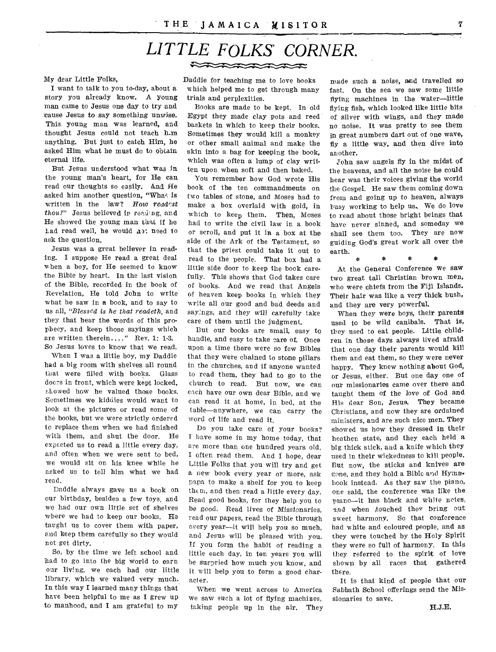## *LITTLE FOLKS' CORNER.*  2222222222

#### My dear Little Folks,

I want to talk to you to-day, about a story you already know. A young man came to Jesus one day to try and cause Jesus to say something unwise. This young man was learned, and thought Jesus could not teach h-m. anything. But just to catch Him, he asked Him what he must do to obtain eternal life.

But Jesus understood what was in the young man's heart, for He can read our thoughts so easily. And He asked him another question, "What is written in the law? *How reade'st thou?"* Jesus believed in reading, and He showed the young man that if he had read well, he would ap: need to ask the question.

Jesus was a great believer in reading. I suppose He read a great deal when a boy, for He seemed to know the Bible by heart. In the last vision of the Bible, recorded in the book of Revelation, He told John to write what he saw in a book, and to say to us all, *"Blessed is he that readeth,* and they that hear the words of this prophecy, and keep those sayings which are written therein...." Rev. 1: 1-3. So Jesus loves to know that we read.

When I was a little boy, my Daddie had a big room with shelves all round that were filled with books. Glass docrs in front, which were kept locked, E'howed how he valued those books. Sometimes we kiddies would want to look at the pictures or read some of the books, but we were strictly ordered to replace them when we had finished with them, and shut the door. He expected us to read a little every day, and often when we were sent to bed, we would sit on his knee while he asked us to tell him what we had read.

Daddie always gave us a book on our birthday, besides a few toys, and we had our own *little* set of shelves where we had to keep our books. He taught us to cover them with paper, and keep them carefully so they would not get dirty.

So, by the time we left school and had to go into the big world to earn our living, we each had our little library, which we valued very much. In this way I learned many things that have been helpful to me as I grew up to manhood, and I am grateful to my

Daddie for teaching me to love books which helped me to get through many trials and perplexities.

Books are made to be kept. In old Egypt they made clay pots and reed baskets in which to keep their books. Sometimes they would kill a monkey or other small animal and make the skin into a bag for keeping the book, which was often a lump of clay written upon when soft and then baked.

You remember how God wrote His book of the ten commandments on two tables of stone, and Moses had to make a box overlaid with gold, in which to keep them. Then, Moses had to write the civil law in a book or scroll, and put it in a box at the side of the Ark of the Testament, so that the priest could take it out to read to the people. That box had a little side door to keep the book carefully. This shows that God takes care of books. And we read that Angels of heaven keep books in which they write all our good and bad deeds and sayings, and they will carefully take care of them until the judgment.

But our books are small, easy to handle, and easy to take care of. Once upon a time there were so few Bibles that they were chained to stone pillars in the churches, and if anyone wanted to read them, they had to go to the church to read. But now, we can each have our own dear Bible, and we Can read it at home, in bed, at the table—anywhere, we can carry the word of life and read it.

Do you take care of your books? I have some in my home today, that are more than one hundred years old. I often read them. And I hope, dear Little Folks that you will try and get a new book every year or more, ask papa to make a shelf for you to keep them, and then read a little every day. Read good books, for they help you to be good. Read lives of Missionaries, read our papers, read the Bible through every year—it will help you so much, and Jesus will be pleased with you. If you form the habit of reading a little each day, in ten years you will be surpried how much you know, and it will help you to form a good character.

When we went across to America we saw such a lot of flying machines, taking people up in the air. They

made such a noise, and travelled so fast. On the sea we saw some little flying machines in the water—little flying fish, which looked like little bits of silver with wings, and they made no noise. It was pretty to *see* them in great numbers dart out of one wave, fly a little way, and then dive into another.

John saw angels fly in the midst of the heavens, and all the noise he could hear was their voices giving the world the Gospel. He saw them coming down from and going up to heaven, always busy working to help us, We do love to read about those bright beings that have never sinned, and someday we shall see them too. They are now guiding God's great work all over the earth.

At the General Conference we saw two great tall Christian brown men, who were chiefs from the Fiji Islands. Their hair was like a very thick bush, and they are very powerful.

 $\mathbf{R}$ 

 $\mathbf{r}$ 

ż

When they were boys, their parents used to be wild canibals. That is, they used to eat people. Little children in those days always lived afraid that one day their parents would kill them and eat them, so they were never happy. They knew nothing about God, or Jesus, either. But one day one of our missionaries came over there and taught them of the love of God and His dear Son, Jesus. They became Christians, and now they are ordained ministers, and are such nice men. They showed us how they dressed in their heathen state, and they each held a big thick stick, and a knife which they used in their wickedness to kill people. But now, the sticks and knives are gone, and they hold a Bible and Hymn. book instead. As they saw the piano, one said, the conference was like the piano—it has black and white notes, and when ,touched they bring out sweet harmony. So that conference had white and coloured people, and as they were touched by the Holy Spirit they were so full of harmony. In this they referred to the spirit of love shown by all races that gathered there.

It is that kind of people that our Sabbath School offerings send the Missionaries to save.